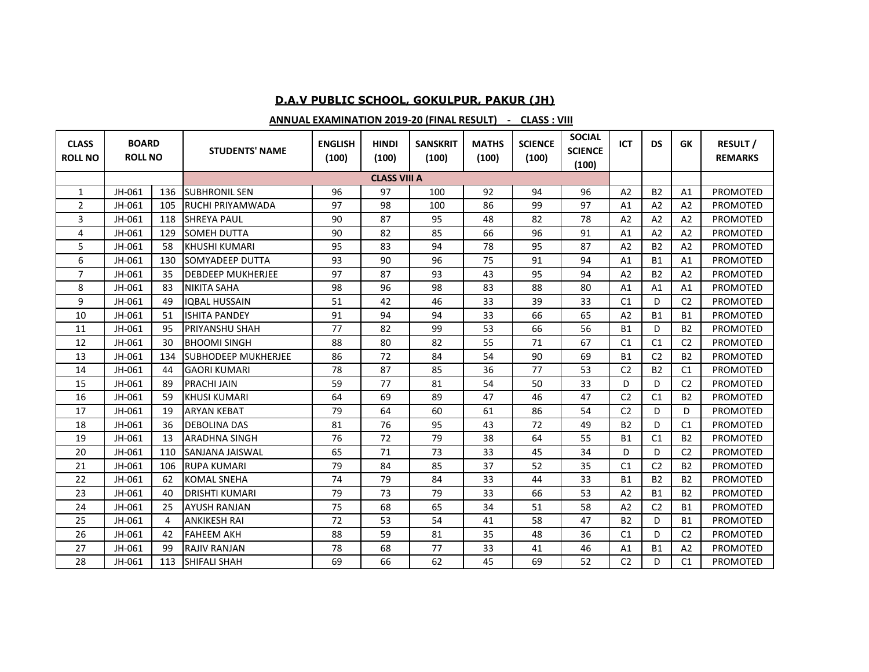## **D.A.V PUBLIC SCHOOL, GOKULPUR, PAKUR (JH)**

## **ANNUAL EXAMINATION 2019-20 (FINAL RESULT) - CLASS : VIII**

| <b>CLASS</b><br><b>ROLL NO</b> | <b>BOARD</b><br><b>ROLL NO</b> |     | <b>STUDENTS' NAME</b>      | <b>ENGLISH</b><br>(100) | <b>HINDI</b><br>(100) | <b>SANSKRIT</b><br>(100) | <b>MATHS</b><br>(100) | <b>SCIENCE</b><br>(100) | <b>SOCIAL</b><br><b>SCIENCE</b><br>(100) | <b>ICT</b>     | <b>DS</b>      | <b>GK</b>      | <b>RESULT/</b><br><b>REMARKS</b> |
|--------------------------------|--------------------------------|-----|----------------------------|-------------------------|-----------------------|--------------------------|-----------------------|-------------------------|------------------------------------------|----------------|----------------|----------------|----------------------------------|
|                                |                                |     |                            |                         | <b>CLASS VIII A</b>   |                          |                       |                         |                                          |                |                |                |                                  |
| 1                              | JH-061                         | 136 | <b>SUBHRONIL SEN</b>       | 96                      | 97                    | 100                      | 92                    | 94                      | 96                                       | A <sub>2</sub> | <b>B2</b>      | A1             | <b>PROMOTED</b>                  |
| 2                              | JH-061                         | 105 | <b>RUCHI PRIYAMWADA</b>    | 97                      | 98                    | 100                      | 86                    | 99                      | 97                                       | A <sub>1</sub> | A <sub>2</sub> | A <sub>2</sub> | <b>PROMOTED</b>                  |
| 3                              | JH-061                         | 118 | <b>SHREYA PAUL</b>         | 90                      | 87                    | 95                       | 48                    | 82                      | 78                                       | A <sub>2</sub> | A <sub>2</sub> | A2             | <b>PROMOTED</b>                  |
| 4                              | JH-061                         | 129 | <b>SOMEH DUTTA</b>         | 90                      | 82                    | 85                       | 66                    | 96                      | 91                                       | A1             | A <sub>2</sub> | A2             | <b>PROMOTED</b>                  |
| 5                              | JH-061                         | 58  | <b>KHUSHI KUMARI</b>       | 95                      | 83                    | 94                       | 78                    | 95                      | 87                                       | A <sub>2</sub> | <b>B2</b>      | A <sub>2</sub> | <b>PROMOTED</b>                  |
| 6                              | JH-061                         | 130 | <b>SOMYADEEP DUTTA</b>     | 93                      | 90                    | 96                       | 75                    | 91                      | 94                                       | A1             | <b>B1</b>      | A1             | <b>PROMOTED</b>                  |
| $\overline{7}$                 | JH-061                         | 35  | <b>DEBDEEP MUKHERJEE</b>   | 97                      | 87                    | 93                       | 43                    | 95                      | 94                                       | A <sub>2</sub> | <b>B2</b>      | A <sub>2</sub> | PROMOTED                         |
| 8                              | JH-061                         | 83  | <b>NIKITA SAHA</b>         | 98                      | 96                    | 98                       | 83                    | 88                      | 80                                       | A1             | A <sub>1</sub> | A1             | <b>PROMOTED</b>                  |
| 9                              | JH-061                         | 49  | <b>IOBAL HUSSAIN</b>       | 51                      | 42                    | 46                       | 33                    | 39                      | 33                                       | C <sub>1</sub> | D              | C <sub>2</sub> | <b>PROMOTED</b>                  |
| 10                             | JH-061                         | 51  | <b>ISHITA PANDEY</b>       | 91                      | 94                    | 94                       | 33                    | 66                      | 65                                       | A <sub>2</sub> | <b>B1</b>      | <b>B1</b>      | PROMOTED                         |
| 11                             | JH-061                         | 95  | <b>PRIYANSHU SHAH</b>      | 77                      | 82                    | 99                       | 53                    | 66                      | 56                                       | <b>B1</b>      | D              | <b>B2</b>      | PROMOTED                         |
| 12                             | JH-061                         | 30  | <b>BHOOMI SINGH</b>        | 88                      | 80                    | 82                       | 55                    | 71                      | 67                                       | C1             | C <sub>1</sub> | C <sub>2</sub> | <b>PROMOTED</b>                  |
| 13                             | JH-061                         | 134 | <b>SUBHODEEP MUKHERJEE</b> | 86                      | 72                    | 84                       | 54                    | 90                      | 69                                       | <b>B1</b>      | C <sub>2</sub> | <b>B2</b>      | PROMOTED                         |
| 14                             | JH-061                         | 44  | <b>GAORI KUMARI</b>        | 78                      | 87                    | 85                       | 36                    | 77                      | 53                                       | C <sub>2</sub> | <b>B2</b>      | C <sub>1</sub> | <b>PROMOTED</b>                  |
| 15                             | JH-061                         | 89  | <b>PRACHI JAIN</b>         | 59                      | 77                    | 81                       | 54                    | 50                      | 33                                       | D              | D              | C <sub>2</sub> | <b>PROMOTED</b>                  |
| 16                             | JH-061                         | 59  | <b>KHUSI KUMARI</b>        | 64                      | 69                    | 89                       | 47                    | 46                      | 47                                       | C <sub>2</sub> | C <sub>1</sub> | <b>B2</b>      | PROMOTED                         |
| 17                             | JH-061                         | 19  | <b>ARYAN KEBAT</b>         | 79                      | 64                    | 60                       | 61                    | 86                      | 54                                       | C <sub>2</sub> | D              | D              | <b>PROMOTED</b>                  |
| 18                             | JH-061                         | 36  | <b>DEBOLINA DAS</b>        | 81                      | 76                    | 95                       | 43                    | 72                      | 49                                       | <b>B2</b>      | D              | C <sub>1</sub> | <b>PROMOTED</b>                  |
| 19                             | JH-061                         | 13  | <b>ARADHNA SINGH</b>       | 76                      | 72                    | 79                       | 38                    | 64                      | 55                                       | <b>B1</b>      | C <sub>1</sub> | <b>B2</b>      | <b>PROMOTED</b>                  |
| 20                             | JH-061                         | 110 | <b>SANJANA JAISWAL</b>     | 65                      | 71                    | 73                       | 33                    | 45                      | 34                                       | D              | D              | C <sub>2</sub> | <b>PROMOTED</b>                  |
| 21                             | JH-061                         | 106 | <b>RUPA KUMARI</b>         | 79                      | 84                    | 85                       | 37                    | 52                      | 35                                       | C <sub>1</sub> | C <sub>2</sub> | <b>B2</b>      | <b>PROMOTED</b>                  |
| 22                             | JH-061                         | 62  | <b>KOMAL SNEHA</b>         | 74                      | 79                    | 84                       | 33                    | 44                      | 33                                       | <b>B1</b>      | <b>B2</b>      | <b>B2</b>      | PROMOTED                         |
| 23                             | JH-061                         | 40  | <b>DRISHTI KUMARI</b>      | 79                      | 73                    | 79                       | 33                    | 66                      | 53                                       | A <sub>2</sub> | <b>B1</b>      | <b>B2</b>      | <b>PROMOTED</b>                  |
| 24                             | JH-061                         | 25  | <b>AYUSH RANJAN</b>        | 75                      | 68                    | 65                       | 34                    | 51                      | 58                                       | A <sub>2</sub> | C <sub>2</sub> | <b>B1</b>      | <b>PROMOTED</b>                  |
| 25                             | JH-061                         | 4   | <b>ANKIKESH RAI</b>        | 72                      | 53                    | 54                       | 41                    | 58                      | 47                                       | <b>B2</b>      | D              | <b>B1</b>      | <b>PROMOTED</b>                  |
| 26                             | JH-061                         | 42  | <b>FAHEEM AKH</b>          | 88                      | 59                    | 81                       | 35                    | 48                      | 36                                       | C <sub>1</sub> | D              | C <sub>2</sub> | <b>PROMOTED</b>                  |
| 27                             | JH-061                         | 99  | <b>RAJIV RANJAN</b>        | 78                      | 68                    | 77                       | 33                    | 41                      | 46                                       | A1             | <b>B1</b>      | A2             | <b>PROMOTED</b>                  |
| 28                             | JH-061                         | 113 | <b>SHIFALI SHAH</b>        | 69                      | 66                    | 62                       | 45                    | 69                      | 52                                       | C <sub>2</sub> | D              | C1             | PROMOTED                         |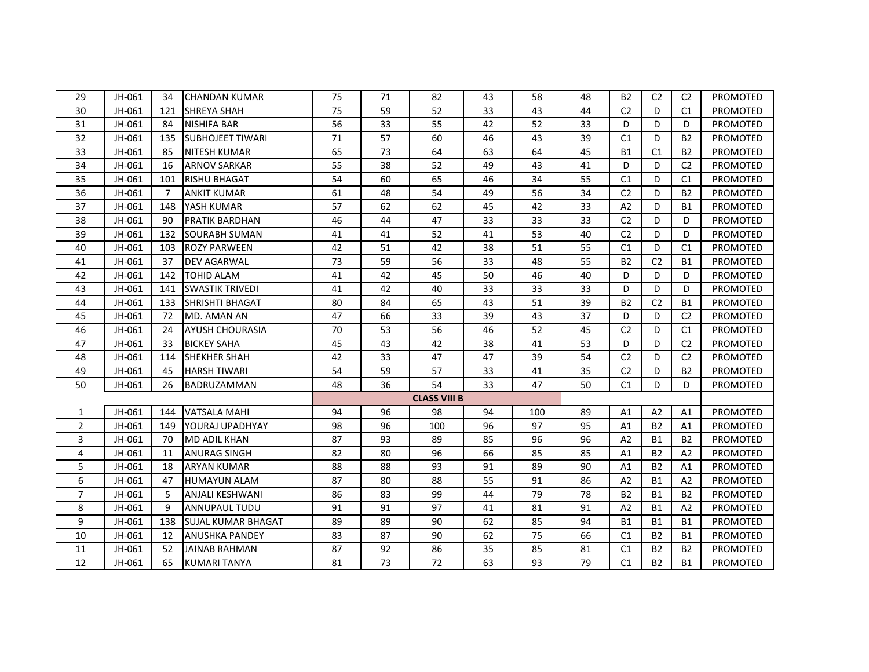| 29             | JH-061 | 34  | <b>CHANDAN KUMAR</b>      | 75 | 71 | 82                  | 43 | 58  | 48 | <b>B2</b>      | C <sub>2</sub> | C <sub>2</sub> | PROMOTED        |
|----------------|--------|-----|---------------------------|----|----|---------------------|----|-----|----|----------------|----------------|----------------|-----------------|
| 30             | JH-061 | 121 | <b>SHREYA SHAH</b>        | 75 | 59 | 52                  | 33 | 43  | 44 | C <sub>2</sub> | D              | C1             | PROMOTED        |
| 31             | JH-061 | 84  | <b>NISHIFA BAR</b>        | 56 | 33 | 55                  | 42 | 52  | 33 | D              | D              | D              | PROMOTED        |
| 32             | JH-061 | 135 | <b>SUBHOJEET TIWARI</b>   | 71 | 57 | 60                  | 46 | 43  | 39 | C1             | D              | <b>B2</b>      | PROMOTED        |
| 33             | JH-061 | 85  | <b>NITESH KUMAR</b>       | 65 | 73 | 64                  | 63 | 64  | 45 | <b>B1</b>      | C1             | <b>B2</b>      | PROMOTED        |
| 34             | JH-061 | 16  | <b>ARNOV SARKAR</b>       | 55 | 38 | 52                  | 49 | 43  | 41 | D              | D              | C <sub>2</sub> | <b>PROMOTED</b> |
| 35             | JH-061 | 101 | <b>RISHU BHAGAT</b>       | 54 | 60 | 65                  | 46 | 34  | 55 | C <sub>1</sub> | D              | C1             | PROMOTED        |
| 36             | JH-061 | 7   | <b>ANKIT KUMAR</b>        | 61 | 48 | 54                  | 49 | 56  | 34 | C <sub>2</sub> | D              | <b>B2</b>      | PROMOTED        |
| 37             | JH-061 | 148 | YASH KUMAR                | 57 | 62 | 62                  | 45 | 42  | 33 | A2             | D              | <b>B1</b>      | PROMOTED        |
| 38             | JH-061 | 90  | <b>PRATIK BARDHAN</b>     | 46 | 44 | 47                  | 33 | 33  | 33 | C <sub>2</sub> | D              | D              | <b>PROMOTED</b> |
| 39             | JH-061 | 132 | SOURABH SUMAN             | 41 | 41 | 52                  | 41 | 53  | 40 | C <sub>2</sub> | D              | D              | PROMOTED        |
| 40             | JH-061 | 103 | <b>ROZY PARWEEN</b>       | 42 | 51 | 42                  | 38 | 51  | 55 | C <sub>1</sub> | D              | C <sub>1</sub> | PROMOTED        |
| 41             | JH-061 | 37  | <b>DEV AGARWAL</b>        | 73 | 59 | 56                  | 33 | 48  | 55 | <b>B2</b>      | C <sub>2</sub> | Β1             | <b>PROMOTED</b> |
| 42             | JH-061 | 142 | <b>TOHID ALAM</b>         | 41 | 42 | 45                  | 50 | 46  | 40 | D              | D              | D              | <b>PROMOTED</b> |
| 43             | JH-061 | 141 | <b>SWASTIK TRIVEDI</b>    | 41 | 42 | 40                  | 33 | 33  | 33 | D              | D              | D              | PROMOTED        |
| 44             | JH-061 | 133 | <b>SHRISHTI BHAGAT</b>    | 80 | 84 | 65                  | 43 | 51  | 39 | <b>B2</b>      | C <sub>2</sub> | <b>B1</b>      | PROMOTED        |
| 45             | JH-061 | 72  | MD. AMAN AN               | 47 | 66 | 33                  | 39 | 43  | 37 | D              | D              | C <sub>2</sub> | PROMOTED        |
| 46             | JH-061 | 24  | <b>AYUSH CHOURASIA</b>    | 70 | 53 | 56                  | 46 | 52  | 45 | C <sub>2</sub> | D              | C <sub>1</sub> | PROMOTED        |
| 47             | JH-061 | 33  | <b>BICKEY SAHA</b>        | 45 | 43 | 42                  | 38 | 41  | 53 | D              | D              | C <sub>2</sub> | PROMOTED        |
| 48             | JH-061 | 114 | <b>SHEKHER SHAH</b>       | 42 | 33 | 47                  | 47 | 39  | 54 | C <sub>2</sub> | D              | C <sub>2</sub> | PROMOTED        |
| 49             | JH-061 | 45  | <b>HARSH TIWARI</b>       | 54 | 59 | 57                  | 33 | 41  | 35 | C <sub>2</sub> | D              | <b>B2</b>      | PROMOTED        |
| 50             | JH-061 | 26  | BADRUZAMMAN               | 48 | 36 | 54                  | 33 | 47  | 50 | C <sub>1</sub> | D              | D              | PROMOTED        |
|                |        |     |                           |    |    | <b>CLASS VIII B</b> |    |     |    |                |                |                |                 |
| 1              | JH-061 | 144 | <b>VATSALA MAHI</b>       | 94 | 96 | 98                  | 94 | 100 | 89 | A1             | A2             | A1             | <b>PROMOTED</b> |
| 2              | JH-061 | 149 | YOURAJ UPADHYAY           | 98 | 96 | 100                 | 96 | 97  | 95 | A1             | <b>B2</b>      | A1             | PROMOTED        |
| 3              | JH-061 | 70  | <b>MD ADIL KHAN</b>       | 87 | 93 | 89                  | 85 | 96  | 96 | A2             | <b>B1</b>      | <b>B2</b>      | PROMOTED        |
| 4              | JH-061 | 11  | <b>ANURAG SINGH</b>       | 82 | 80 | 96                  | 66 | 85  | 85 | A1             | <b>B2</b>      | A2             | PROMOTED        |
| 5              | JH-061 | 18  | <b>ARYAN KUMAR</b>        | 88 | 88 | 93                  | 91 | 89  | 90 | A1             | <b>B2</b>      | A1             | <b>PROMOTED</b> |
| 6              | JH-061 | 47  | <b>HUMAYUN ALAM</b>       | 87 | 80 | 88                  | 55 | 91  | 86 | A <sub>2</sub> | <b>B1</b>      | A <sub>2</sub> | PROMOTED        |
| $\overline{7}$ | JH-061 | 5   | <b>ANJALI KESHWANI</b>    | 86 | 83 | 99                  | 44 | 79  | 78 | <b>B2</b>      | <b>B1</b>      | <b>B2</b>      | PROMOTED        |
| 8              | JH-061 | 9   | <b>ANNUPAUL TUDU</b>      | 91 | 91 | 97                  | 41 | 81  | 91 | A <sub>2</sub> | <b>B1</b>      | A <sub>2</sub> | <b>PROMOTED</b> |
| 9              | JH-061 | 138 | <b>SUJAL KUMAR BHAGAT</b> | 89 | 89 | 90                  | 62 | 85  | 94 | <b>B1</b>      | <b>B1</b>      | <b>B1</b>      | PROMOTED        |
| 10             | JH-061 | 12  | <b>ANUSHKA PANDEY</b>     | 83 | 87 | 90                  | 62 | 75  | 66 | C1             | <b>B2</b>      | <b>B1</b>      | PROMOTED        |
| 11             | JH-061 | 52  | <b>JAINAB RAHMAN</b>      | 87 | 92 | 86                  | 35 | 85  | 81 | C1             | <b>B2</b>      | <b>B2</b>      | PROMOTED        |
| 12             | JH-061 | 65  | <b>KUMARI TANYA</b>       | 81 | 73 | 72                  | 63 | 93  | 79 | C <sub>1</sub> | <b>B2</b>      | <b>B1</b>      | PROMOTED        |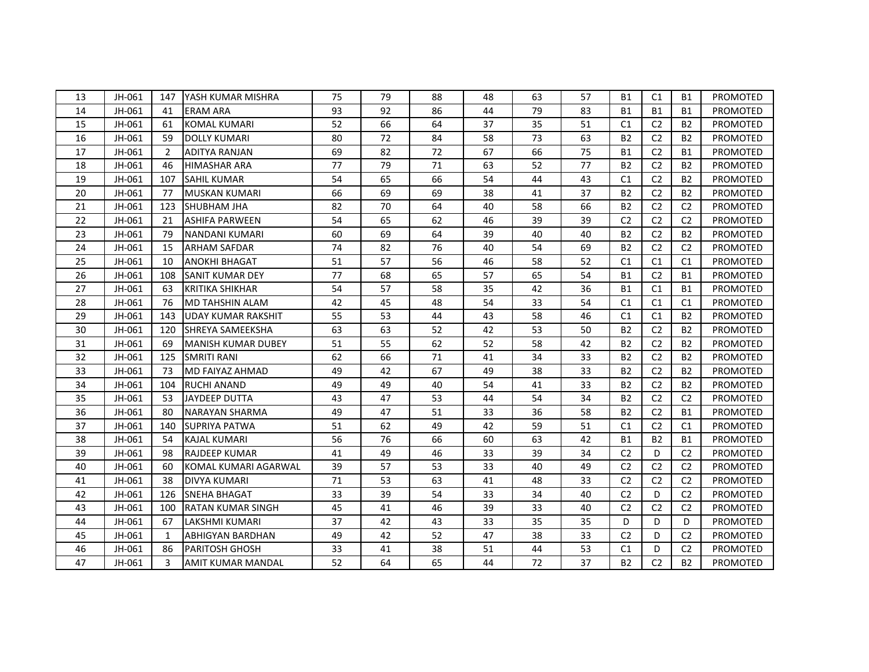| 13 | JH-061 | 147 | YASH KUMAR MISHRA         | 75 | 79 | 88 | 48 | 63 | 57 | <b>B1</b>      | C <sub>1</sub> | <b>B1</b>      | PROMOTED        |
|----|--------|-----|---------------------------|----|----|----|----|----|----|----------------|----------------|----------------|-----------------|
| 14 | JH-061 | 41  | <b>ERAM ARA</b>           | 93 | 92 | 86 | 44 | 79 | 83 | <b>B1</b>      | <b>B1</b>      | <b>B1</b>      | PROMOTED        |
| 15 | JH-061 | 61  | <b>KOMAL KUMARI</b>       | 52 | 66 | 64 | 37 | 35 | 51 | C <sub>1</sub> | C <sub>2</sub> | <b>B2</b>      | PROMOTED        |
| 16 | JH-061 | 59  | <b>DOLLY KUMARI</b>       | 80 | 72 | 84 | 58 | 73 | 63 | <b>B2</b>      | C <sub>2</sub> | <b>B2</b>      | PROMOTED        |
| 17 | JH-061 | 2   | <b>ADITYA RANJAN</b>      | 69 | 82 | 72 | 67 | 66 | 75 | <b>B1</b>      | C <sub>2</sub> | <b>B1</b>      | PROMOTED        |
| 18 | JH-061 | 46  | <b>HIMASHAR ARA</b>       | 77 | 79 | 71 | 63 | 52 | 77 | <b>B2</b>      | C <sub>2</sub> | <b>B2</b>      | <b>PROMOTED</b> |
| 19 | JH-061 | 107 | <b>SAHIL KUMAR</b>        | 54 | 65 | 66 | 54 | 44 | 43 | C1             | C <sub>2</sub> | <b>B2</b>      | PROMOTED        |
| 20 | JH-061 | 77  | <b>MUSKAN KUMARI</b>      | 66 | 69 | 69 | 38 | 41 | 37 | <b>B2</b>      | C <sub>2</sub> | <b>B2</b>      | PROMOTED        |
| 21 | JH-061 | 123 | SHUBHAM JHA               | 82 | 70 | 64 | 40 | 58 | 66 | <b>B2</b>      | C <sub>2</sub> | C <sub>2</sub> | <b>PROMOTED</b> |
| 22 | JH-061 | 21  | <b>ASHIFA PARWEEN</b>     | 54 | 65 | 62 | 46 | 39 | 39 | C <sub>2</sub> | C <sub>2</sub> | C <sub>2</sub> | PROMOTED        |
| 23 | JH-061 | 79  | NANDANI KUMARI            | 60 | 69 | 64 | 39 | 40 | 40 | <b>B2</b>      | C <sub>2</sub> | <b>B2</b>      | PROMOTED        |
| 24 | JH-061 | 15  | <b>ARHAM SAFDAR</b>       | 74 | 82 | 76 | 40 | 54 | 69 | <b>B2</b>      | C <sub>2</sub> | C <sub>2</sub> | PROMOTED        |
| 25 | JH-061 | 10  | <b>ANOKHI BHAGAT</b>      | 51 | 57 | 56 | 46 | 58 | 52 | C1             | C1             | C1             | PROMOTED        |
| 26 | JH-061 | 108 | <b>SANIT KUMAR DEY</b>    | 77 | 68 | 65 | 57 | 65 | 54 | <b>B1</b>      | C <sub>2</sub> | <b>B1</b>      | PROMOTED        |
| 27 | JH-061 | 63  | <b>KRITIKA SHIKHAR</b>    | 54 | 57 | 58 | 35 | 42 | 36 | <b>B1</b>      | C1             | <b>B1</b>      | PROMOTED        |
| 28 | JH-061 | 76  | MD TAHSHIN ALAM           | 42 | 45 | 48 | 54 | 33 | 54 | C <sub>1</sub> | C <sub>1</sub> | C1             | PROMOTED        |
| 29 | JH-061 | 143 | UDAY KUMAR RAKSHIT        | 55 | 53 | 44 | 43 | 58 | 46 | C <sub>1</sub> | C <sub>1</sub> | <b>B2</b>      | PROMOTED        |
| 30 | JH-061 | 120 | <b>SHREYA SAMEEKSHA</b>   | 63 | 63 | 52 | 42 | 53 | 50 | <b>B2</b>      | C <sub>2</sub> | <b>B2</b>      | PROMOTED        |
| 31 | JH-061 | 69  | <b>MANISH KUMAR DUBEY</b> | 51 | 55 | 62 | 52 | 58 | 42 | <b>B2</b>      | C <sub>2</sub> | <b>B2</b>      | PROMOTED        |
| 32 | JH-061 | 125 | <b>SMRITI RANI</b>        | 62 | 66 | 71 | 41 | 34 | 33 | <b>B2</b>      | C <sub>2</sub> | <b>B2</b>      | <b>PROMOTED</b> |
| 33 | JH-061 | 73  | <b>MD FAIYAZ AHMAD</b>    | 49 | 42 | 67 | 49 | 38 | 33 | <b>B2</b>      | C <sub>2</sub> | <b>B2</b>      | PROMOTED        |
| 34 | JH-061 | 104 | <b>RUCHI ANAND</b>        | 49 | 49 | 40 | 54 | 41 | 33 | <b>B2</b>      | C <sub>2</sub> | <b>B2</b>      | PROMOTED        |
| 35 | JH-061 | 53  | <b>JAYDEEP DUTTA</b>      | 43 | 47 | 53 | 44 | 54 | 34 | <b>B2</b>      | C <sub>2</sub> | C <sub>2</sub> | PROMOTED        |
| 36 | JH-061 | 80  | <b>NARAYAN SHARMA</b>     | 49 | 47 | 51 | 33 | 36 | 58 | <b>B2</b>      | C <sub>2</sub> | <b>B1</b>      | PROMOTED        |
| 37 | JH-061 | 140 | <b>SUPRIYA PATWA</b>      | 51 | 62 | 49 | 42 | 59 | 51 | C1             | C <sub>2</sub> | C <sub>1</sub> | PROMOTED        |
| 38 | JH-061 | 54  | <b>KAJAL KUMARI</b>       | 56 | 76 | 66 | 60 | 63 | 42 | <b>B1</b>      | <b>B2</b>      | <b>B1</b>      | PROMOTED        |
| 39 | JH-061 | 98  | <b>RAJDEEP KUMAR</b>      | 41 | 49 | 46 | 33 | 39 | 34 | C <sub>2</sub> | D              | C <sub>2</sub> | PROMOTED        |
| 40 | JH-061 | 60  | KOMAL KUMARI AGARWAL      | 39 | 57 | 53 | 33 | 40 | 49 | C <sub>2</sub> | C <sub>2</sub> | C <sub>2</sub> | <b>PROMOTED</b> |
| 41 | JH-061 | 38  | <b>DIVYA KUMARI</b>       | 71 | 53 | 63 | 41 | 48 | 33 | C <sub>2</sub> | C <sub>2</sub> | C <sub>2</sub> | PROMOTED        |
| 42 | JH-061 | 126 | <b>SNEHA BHAGAT</b>       | 33 | 39 | 54 | 33 | 34 | 40 | C <sub>2</sub> | D              | C <sub>2</sub> | PROMOTED        |
| 43 | JH-061 | 100 | <b>RATAN KUMAR SINGH</b>  | 45 | 41 | 46 | 39 | 33 | 40 | C <sub>2</sub> | C <sub>2</sub> | C <sub>2</sub> | <b>PROMOTED</b> |
| 44 | JH-061 | 67  | <b>LAKSHMI KUMARI</b>     | 37 | 42 | 43 | 33 | 35 | 35 | D              | D              | D              | <b>PROMOTED</b> |
| 45 | JH-061 | 1   | <b>ABHIGYAN BARDHAN</b>   | 49 | 42 | 52 | 47 | 38 | 33 | C <sub>2</sub> | D              | C <sub>2</sub> | PROMOTED        |
| 46 | JH-061 | 86  | <b>PARITOSH GHOSH</b>     | 33 | 41 | 38 | 51 | 44 | 53 | C1             | D              | C <sub>2</sub> | PROMOTED        |
| 47 | JH-061 | 3   | AMIT KUMAR MANDAL         | 52 | 64 | 65 | 44 | 72 | 37 | <b>B2</b>      | C <sub>2</sub> | B <sub>2</sub> | PROMOTED        |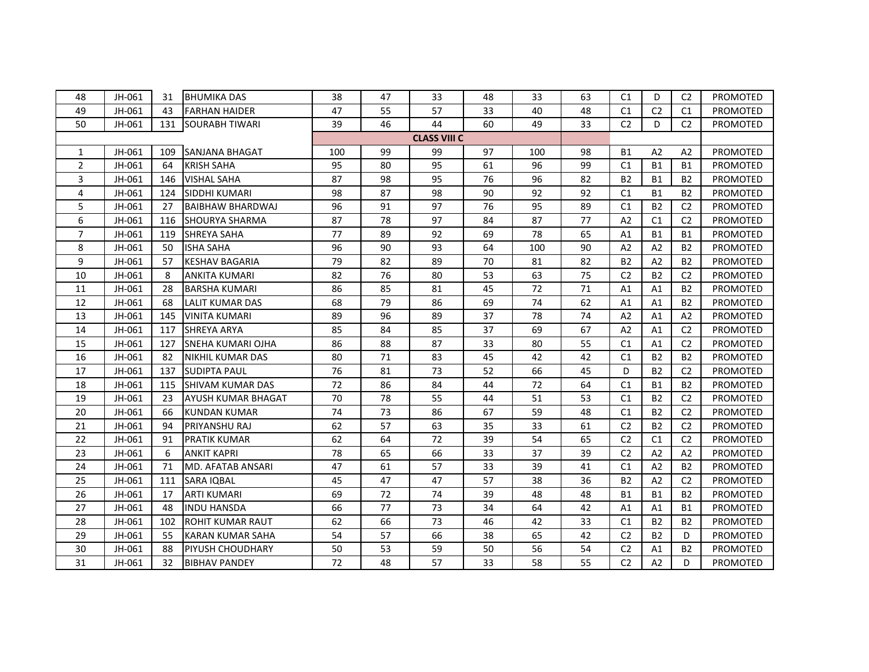| 48             | JH-061 | 31  | <b>BHUMIKA DAS</b>       | 38  | 47 | 33                  | 48 | 33  | 63 | C1             | D              | C <sub>2</sub> | PROMOTED        |  |
|----------------|--------|-----|--------------------------|-----|----|---------------------|----|-----|----|----------------|----------------|----------------|-----------------|--|
| 49             | JH-061 | 43  | <b>FARHAN HAIDER</b>     | 47  | 55 | 57                  | 33 | 40  | 48 | C1             | C <sub>2</sub> | C <sub>1</sub> | PROMOTED        |  |
| 50             | JH-061 | 131 | <b>SOURABH TIWARI</b>    | 39  | 46 | 44                  | 60 | 49  | 33 | C <sub>2</sub> | D              | C <sub>2</sub> | PROMOTED        |  |
|                |        |     |                          |     |    | <b>CLASS VIII C</b> |    |     |    |                |                |                |                 |  |
| 1              | JH-061 | 109 | SANJANA BHAGAT           | 100 | 99 | 99                  | 97 | 100 | 98 | <b>B1</b>      | A2             | A2             | PROMOTED        |  |
| $\overline{2}$ | JH-061 | 64  | <b>KRISH SAHA</b>        | 95  | 80 | 95                  | 61 | 96  | 99 | C1             | <b>B1</b>      | <b>B1</b>      | PROMOTED        |  |
| 3              | JH-061 | 146 | <b>VISHAL SAHA</b>       | 87  | 98 | 95                  | 76 | 96  | 82 | <b>B2</b>      | <b>B1</b>      | <b>B2</b>      | PROMOTED        |  |
| 4              | JH-061 | 124 | SIDDHI KUMARI            | 98  | 87 | 98                  | 90 | 92  | 92 | C1             | <b>B1</b>      | <b>B2</b>      | PROMOTED        |  |
| 5              | JH-061 | 27  | <b>BAIBHAW BHARDWAJ</b>  | 96  | 91 | 97                  | 76 | 95  | 89 | C1             | <b>B2</b>      | C <sub>2</sub> | PROMOTED        |  |
| 6              | JH-061 | 116 | <b>SHOURYA SHARMA</b>    | 87  | 78 | 97                  | 84 | 87  | 77 | A2             | C1             | C <sub>2</sub> | PROMOTED        |  |
| $\overline{7}$ | JH-061 | 119 | <b>SHREYA SAHA</b>       | 77  | 89 | 92                  | 69 | 78  | 65 | A1             | <b>B1</b>      | <b>B1</b>      | PROMOTED        |  |
| 8              | JH-061 | 50  | <b>ISHA SAHA</b>         | 96  | 90 | 93                  | 64 | 100 | 90 | A <sub>2</sub> | A2             | <b>B2</b>      | PROMOTED        |  |
| 9              | JH-061 | 57  | <b>KESHAV BAGARIA</b>    | 79  | 82 | 89                  | 70 | 81  | 82 | <b>B2</b>      | A2             | <b>B2</b>      | PROMOTED        |  |
| 10             | JH-061 | 8   | <b>ANKITA KUMARI</b>     | 82  | 76 | 80                  | 53 | 63  | 75 | C <sub>2</sub> | <b>B2</b>      | C <sub>2</sub> | PROMOTED        |  |
| 11             | JH-061 | 28  | <b>BARSHA KUMARI</b>     | 86  | 85 | 81                  | 45 | 72  | 71 | A1             | A1             | <b>B2</b>      | PROMOTED        |  |
| 12             | JH-061 | 68  | LALIT KUMAR DAS          | 68  | 79 | 86                  | 69 | 74  | 62 | A <sub>1</sub> | A1             | <b>B2</b>      | PROMOTED        |  |
| 13             | JH-061 | 145 | <b>VINITA KUMARI</b>     | 89  | 96 | 89                  | 37 | 78  | 74 | A <sub>2</sub> | A1             | A <sub>2</sub> | PROMOTED        |  |
| 14             | JH-061 | 117 | <b>SHREYA ARYA</b>       | 85  | 84 | 85                  | 37 | 69  | 67 | A2             | A1             | C <sub>2</sub> | PROMOTED        |  |
| 15             | JH-061 | 127 | <b>SNEHA KUMARI OJHA</b> | 86  | 88 | 87                  | 33 | 80  | 55 | C1             | A1             | C <sub>2</sub> | PROMOTED        |  |
| 16             | JH-061 | 82  | <b>NIKHIL KUMAR DAS</b>  | 80  | 71 | 83                  | 45 | 42  | 42 | C <sub>1</sub> | <b>B2</b>      | <b>B2</b>      | <b>PROMOTED</b> |  |
| 17             | JH-061 | 137 | <b>SUDIPTA PAUL</b>      | 76  | 81 | 73                  | 52 | 66  | 45 | D              | <b>B2</b>      | C <sub>2</sub> | PROMOTED        |  |
| 18             | JH-061 | 115 | SHIVAM KUMAR DAS         | 72  | 86 | 84                  | 44 | 72  | 64 | C1             | <b>B1</b>      | <b>B2</b>      | PROMOTED        |  |
| 19             | JH-061 | 23  | AYUSH KUMAR BHAGAT       | 70  | 78 | 55                  | 44 | 51  | 53 | C1             | <b>B2</b>      | C <sub>2</sub> | PROMOTED        |  |
| 20             | JH-061 | 66  | <b>KUNDAN KUMAR</b>      | 74  | 73 | 86                  | 67 | 59  | 48 | C <sub>1</sub> | <b>B2</b>      | C <sub>2</sub> | PROMOTED        |  |
| 21             | JH-061 | 94  | PRIYANSHU RAJ            | 62  | 57 | 63                  | 35 | 33  | 61 | C <sub>2</sub> | <b>B2</b>      | C <sub>2</sub> | PROMOTED        |  |
| 22             | JH-061 | 91  | PRATIK KUMAR             | 62  | 64 | 72                  | 39 | 54  | 65 | C <sub>2</sub> | C1             | C <sub>2</sub> | PROMOTED        |  |
| 23             | JH-061 | 6   | <b>ANKIT KAPRI</b>       | 78  | 65 | 66                  | 33 | 37  | 39 | C <sub>2</sub> | A2             | A2             | PROMOTED        |  |
| 24             | JH-061 | 71  | <b>MD. AFATAB ANSARI</b> | 47  | 61 | 57                  | 33 | 39  | 41 | C <sub>1</sub> | A <sub>2</sub> | <b>B2</b>      | PROMOTED        |  |
| 25             | JH-061 | 111 | <b>SARA IQBAL</b>        | 45  | 47 | 47                  | 57 | 38  | 36 | <b>B2</b>      | A2             | C <sub>2</sub> | PROMOTED        |  |
| 26             | JH-061 | 17  | <b>ARTI KUMARI</b>       | 69  | 72 | 74                  | 39 | 48  | 48 | <b>B1</b>      | <b>B1</b>      | <b>B2</b>      | PROMOTED        |  |
| 27             | JH-061 | 48  | <b>INDU HANSDA</b>       | 66  | 77 | 73                  | 34 | 64  | 42 | A1             | A1             | <b>B1</b>      | PROMOTED        |  |
| 28             | JH-061 | 102 | ROHIT KUMAR RAUT         | 62  | 66 | 73                  | 46 | 42  | 33 | C <sub>1</sub> | <b>B2</b>      | <b>B2</b>      | PROMOTED        |  |
| 29             | JH-061 | 55  | <b>KARAN KUMAR SAHA</b>  | 54  | 57 | 66                  | 38 | 65  | 42 | C <sub>2</sub> | <b>B2</b>      | D              | PROMOTED        |  |
| 30             | JH-061 | 88  | <b>PIYUSH CHOUDHARY</b>  | 50  | 53 | 59                  | 50 | 56  | 54 | C <sub>2</sub> | A <sub>1</sub> | <b>B2</b>      | <b>PROMOTED</b> |  |
| 31             | JH-061 | 32  | <b>BIBHAV PANDEY</b>     | 72  | 48 | 57                  | 33 | 58  | 55 | C <sub>2</sub> | A2             | D              | PROMOTED        |  |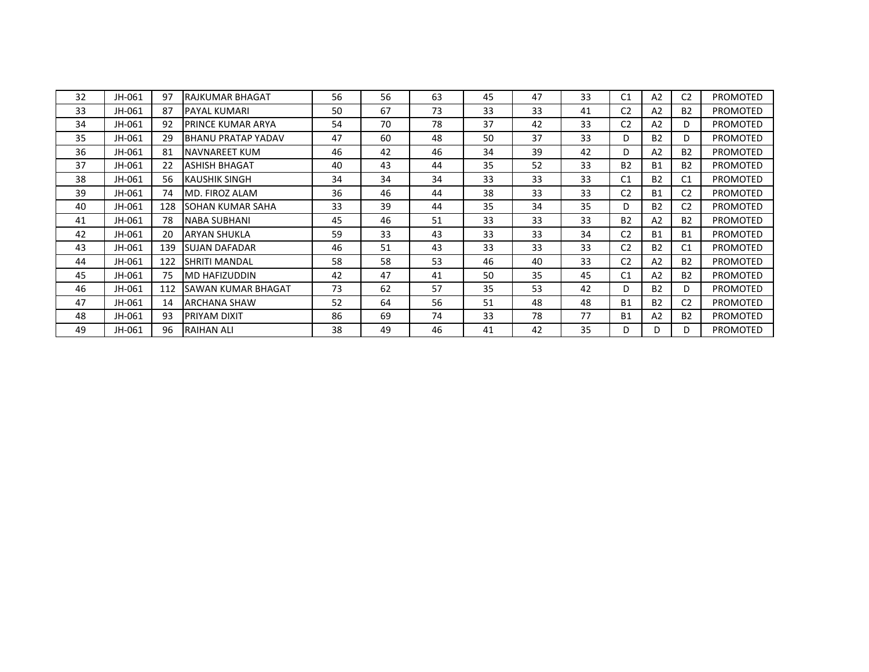| 32 | JH-061 | 97  | RAJKUMAR BHAGAT           | 56 | 56 | 63 | 45 | 47 | 33 | C <sub>1</sub> | A2             | C <sub>2</sub> | <b>PROMOTED</b> |
|----|--------|-----|---------------------------|----|----|----|----|----|----|----------------|----------------|----------------|-----------------|
| 33 | JH-061 | 87  | PAYAL KUMARI              | 50 | 67 | 73 | 33 | 33 | 41 | C <sub>2</sub> | A2             | <b>B2</b>      | <b>PROMOTED</b> |
| 34 | JH-061 | 92  | PRINCE KUMAR ARYA         | 54 | 70 | 78 | 37 | 42 | 33 | C <sub>2</sub> | A <sub>2</sub> | D              | <b>PROMOTED</b> |
| 35 | JH-061 | 29  | <b>BHANU PRATAP YADAV</b> | 47 | 60 | 48 | 50 | 37 | 33 | D              | <b>B2</b>      | D              | <b>PROMOTED</b> |
| 36 | JH-061 | 81  | <b>NAVNAREET KUM</b>      | 46 | 42 | 46 | 34 | 39 | 42 | D              | A <sub>2</sub> | <b>B2</b>      | <b>PROMOTED</b> |
| 37 | JH-061 | 22  | ASHISH BHAGAT             | 40 | 43 | 44 | 35 | 52 | 33 | <b>B2</b>      | <b>B1</b>      | <b>B2</b>      | <b>PROMOTED</b> |
| 38 | JH-061 | 56  | KAUSHIK SINGH             | 34 | 34 | 34 | 33 | 33 | 33 | C <sub>1</sub> | <b>B2</b>      | C <sub>1</sub> | <b>PROMOTED</b> |
| 39 | JH-061 | 74  | MD. FIROZ ALAM            | 36 | 46 | 44 | 38 | 33 | 33 | C <sub>2</sub> | <b>B1</b>      | C <sub>2</sub> | <b>PROMOTED</b> |
| 40 | JH-061 | 128 | <b>SOHAN KUMAR SAHA</b>   | 33 | 39 | 44 | 35 | 34 | 35 | D              | <b>B2</b>      | C <sub>2</sub> | <b>PROMOTED</b> |
| 41 | JH-061 | 78  | <b>NABA SUBHANI</b>       | 45 | 46 | 51 | 33 | 33 | 33 | <b>B2</b>      | A <sub>2</sub> | <b>B2</b>      | <b>PROMOTED</b> |
| 42 | JH-061 | 20  | ARYAN SHUKLA              | 59 | 33 | 43 | 33 | 33 | 34 | C <sub>2</sub> | <b>B1</b>      | <b>B1</b>      | <b>PROMOTED</b> |
| 43 | JH-061 | 139 | <b>SUJAN DAFADAR</b>      | 46 | 51 | 43 | 33 | 33 | 33 | C <sub>2</sub> | <b>B2</b>      | C <sub>1</sub> | <b>PROMOTED</b> |
| 44 | JH-061 | 122 | <b>SHRITI MANDAL</b>      | 58 | 58 | 53 | 46 | 40 | 33 | C <sub>2</sub> | A <sub>2</sub> | <b>B2</b>      | <b>PROMOTED</b> |
| 45 | JH-061 | 75  | <b>MD HAFIZUDDIN</b>      | 42 | 47 | 41 | 50 | 35 | 45 | C <sub>1</sub> | A <sub>2</sub> | <b>B2</b>      | PROMOTED        |
| 46 | JH-061 | 112 | <b>SAWAN KUMAR BHAGAT</b> | 73 | 62 | 57 | 35 | 53 | 42 | D              | <b>B2</b>      | D              | <b>PROMOTED</b> |
| 47 | JH-061 | 14  | <b>ARCHANA SHAW</b>       | 52 | 64 | 56 | 51 | 48 | 48 | <b>B1</b>      | <b>B2</b>      | C <sub>2</sub> | <b>PROMOTED</b> |
| 48 | JH-061 | 93  | PRIYAM DIXIT              | 86 | 69 | 74 | 33 | 78 | 77 | <b>B1</b>      | A2             | <b>B2</b>      | <b>PROMOTED</b> |
| 49 | JH-061 | 96  | <b>RAIHAN ALI</b>         | 38 | 49 | 46 | 41 | 42 | 35 | D.             | D              | D.             | <b>PROMOTED</b> |